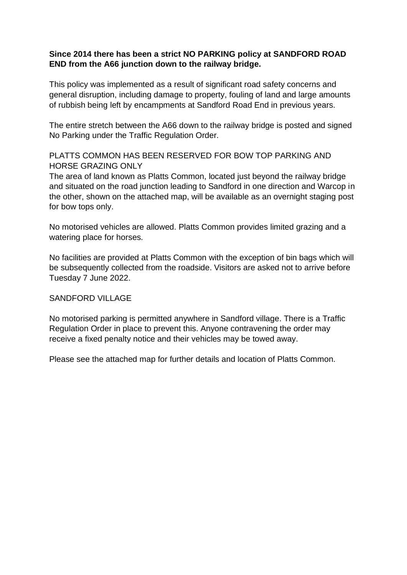## **Since 2014 there has been a strict NO PARKING policy at SANDFORD ROAD END from the A66 junction down to the railway bridge.**

This policy was implemented as a result of significant road safety concerns and general disruption, including damage to property, fouling of land and large amounts of rubbish being left by encampments at Sandford Road End in previous years.

The entire stretch between the A66 down to the railway bridge is posted and signed No Parking under the Traffic Regulation Order.

## PLATTS COMMON HAS BEEN RESERVED FOR BOW TOP PARKING AND HORSE GRAZING ONLY

The area of land known as Platts Common, located just beyond the railway bridge and situated on the road junction leading to Sandford in one direction and Warcop in the other, shown on the attached map, will be available as an overnight staging post for bow tops only.

No motorised vehicles are allowed. Platts Common provides limited grazing and a watering place for horses.

No facilities are provided at Platts Common with the exception of bin bags which will be subsequently collected from the roadside. Visitors are asked not to arrive before Tuesday 7 June 2022.

## SANDFORD VILLAGE

No motorised parking is permitted anywhere in Sandford village. There is a Traffic Regulation Order in place to prevent this. Anyone contravening the order may receive a fixed penalty notice and their vehicles may be towed away.

Please see the attached map for further details and location of Platts Common.